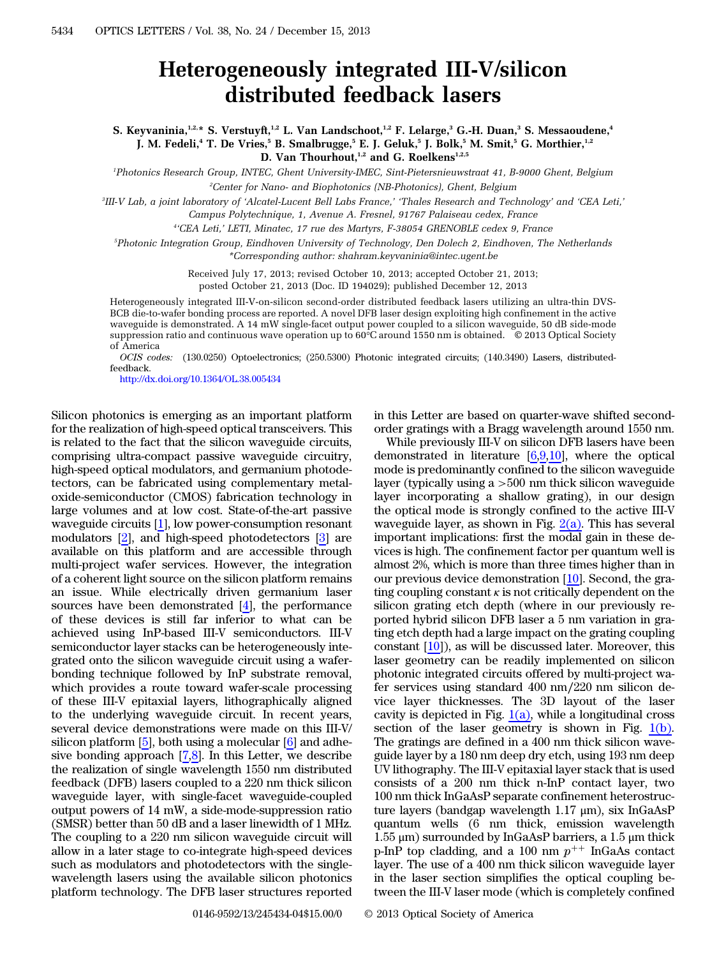## Heterogeneously integrated III-V/silicon distributed feedback lasers

S. Keyvaninia,<sup>1,2,\*</sup> S. Verstuyft,<sup>1,2</sup> L. Van Landschoot,<sup>1,2</sup> F. Lelarge,<sup>3</sup> G.-H. Duan,<sup>3</sup> S. Messaoudene,<sup>4</sup> J. M. Fedeli,<sup>4</sup> T. De Vries,<sup>5</sup> B. Smalbrugge,<sup>5</sup> E. J. Geluk,<sup>5</sup> J. Bolk,<sup>5</sup> M. Smit,<sup>5</sup> G. Morthier,<sup>1,2</sup> D. Van Thourhout,<sup>1,2</sup> and G. Roelkens<sup>1,2,5</sup>

1 Photonics Research Group, INTEC, Ghent University-IMEC, Sint-Pietersnieuwstraat 41, B-9000 Ghent, Belgium

 $^{2}$ Center for Nano- and Biophotonics (NB-Photonics), Ghent, Belgium

3 III-V Lab, a joint laboratory of 'Alcatel-Lucent Bell Labs France,' 'Thales Research and Technology' and 'CEA Leti,' Campus Polytechnique, 1, Avenue A. Fresnel, 91767 Palaiseau cedex, France

4 'CEA Leti,' LETI, Minatec, 17 rue des Martyrs, F-38054 GRENOBLE cedex 9, France

5 Photonic Integration Group, Eindhoven University of Technology, Den Dolech 2, Eindhoven, The Netherlands \*Corresponding author: shahram.keyvaninia@intec.ugent.be

> Received July 17, 2013; revised October 10, 2013; accepted October 21, 2013; posted October 21, 2013 (Doc. ID 194029); published December 12, 2013

Heterogeneously integrated III-V-on-silicon second-order distributed feedback lasers utilizing an ultra-thin DVS-BCB die-to-wafer bonding process are reported. A novel DFB laser design exploiting high confinement in the active waveguide is demonstrated. A 14 mW single-facet output power coupled to a silicon waveguide, 50 dB side-mode suppression ratio and continuous wave operation up to 60°C around 1550 nm is obtained. © 2013 Optical Society of America

OCIS codes: (130.0250) Optoelectronics; (250.5300) Photonic integrated circuits; (140.3490) Lasers, distributedfeedback.

<http://dx.doi.org/10.1364/OL.38.005434>

Silicon photonics is emerging as an important platform for the realization of high-speed optical transceivers. This is related to the fact that the silicon waveguide circuits, comprising ultra-compact passive waveguide circuitry, high-speed optical modulators, and germanium photodetectors, can be fabricated using complementary metaloxide-semiconductor (CMOS) fabrication technology in large volumes and at low cost. State-of-the-art passive waveguide circuits [\[1](#page-3-0)], low power-consumption resonant modulators [\[2](#page-3-1)], and high-speed photodetectors [\[3](#page-3-2)] are available on this platform and are accessible through multi-project wafer services. However, the integration of a coherent light source on the silicon platform remains an issue. While electrically driven germanium laser sources have been demonstrated [[4\]](#page-3-3), the performance of these devices is still far inferior to what can be achieved using InP-based III-V semiconductors. III-V semiconductor layer stacks can be heterogeneously integrated onto the silicon waveguide circuit using a waferbonding technique followed by InP substrate removal, which provides a route toward wafer-scale processing of these III-V epitaxial layers, lithographically aligned to the underlying waveguide circuit. In recent years, several device demonstrations were made on this III-V/ silicon platform [\[5](#page-3-4)], both using a molecular [[6\]](#page-3-5) and adhesive bonding approach [\[7](#page-3-6),[8\]](#page-3-7). In this Letter, we describe the realization of single wavelength 1550 nm distributed feedback (DFB) lasers coupled to a 220 nm thick silicon waveguide layer, with single-facet waveguide-coupled output powers of 14 mW, a side-mode-suppression ratio (SMSR) better than 50 dB and a laser linewidth of 1 MHz. The coupling to a 220 nm silicon waveguide circuit will allow in a later stage to co-integrate high-speed devices such as modulators and photodetectors with the singlewavelength lasers using the available silicon photonics platform technology. The DFB laser structures reported in this Letter are based on quarter-wave shifted secondorder gratings with a Bragg wavelength around 1550 nm.

While previously III-V on silicon DFB lasers have been demonstrated in literature [\[6](#page-3-5),[9,](#page-3-8)[10](#page-3-9)], where the optical mode is predominantly confined to the silicon waveguide layer (typically using a ><sup>500</sup> nm thick silicon waveguide layer incorporating a shallow grating), in our design the optical mode is strongly confined to the active III-V waveguide layer, as shown in Fig.  $2(a)$ . This has several important implications: first the modal gain in these devices is high. The confinement factor per quantum well is almost 2%, which is more than three times higher than in our previous device demonstration [[10\]](#page-3-9). Second, the grating coupling constant  $\kappa$  is not critically dependent on the silicon grating etch depth (where in our previously reported hybrid silicon DFB laser a 5 nm variation in grating etch depth had a large impact on the grating coupling constant [[10\]](#page-3-9)), as will be discussed later. Moreover, this laser geometry can be readily implemented on silicon photonic integrated circuits offered by multi-project wafer services using standard 400 nm∕220 nm silicon device layer thicknesses. The 3D layout of the laser cavity is depicted in Fig.  $1(a)$ , while a longitudinal cross section of the laser geometry is shown in Fig. [1\(b\).](#page-1-1) The gratings are defined in a 400 nm thick silicon waveguide layer by a 180 nm deep dry etch, using 193 nm deep UV lithography. The III-V epitaxial layer stack that is used consists of a 200 nm thick n-InP contact layer, two 100 nm thick InGaAsP separate confinement heterostructure layers (bandgap wavelength 1.17 μm), six InGaAsP quantum wells (6 nm thick, emission wavelength 1.55 μm) surrounded by InGaAsP barriers, a 1.5 μm thick p-InP top cladding, and a 100 nm  $p^{++}$  InGaAs contact layer. The use of a 400 nm thick silicon waveguide layer in the laser section simplifies the optical coupling between the III-V laser mode (which is completely confined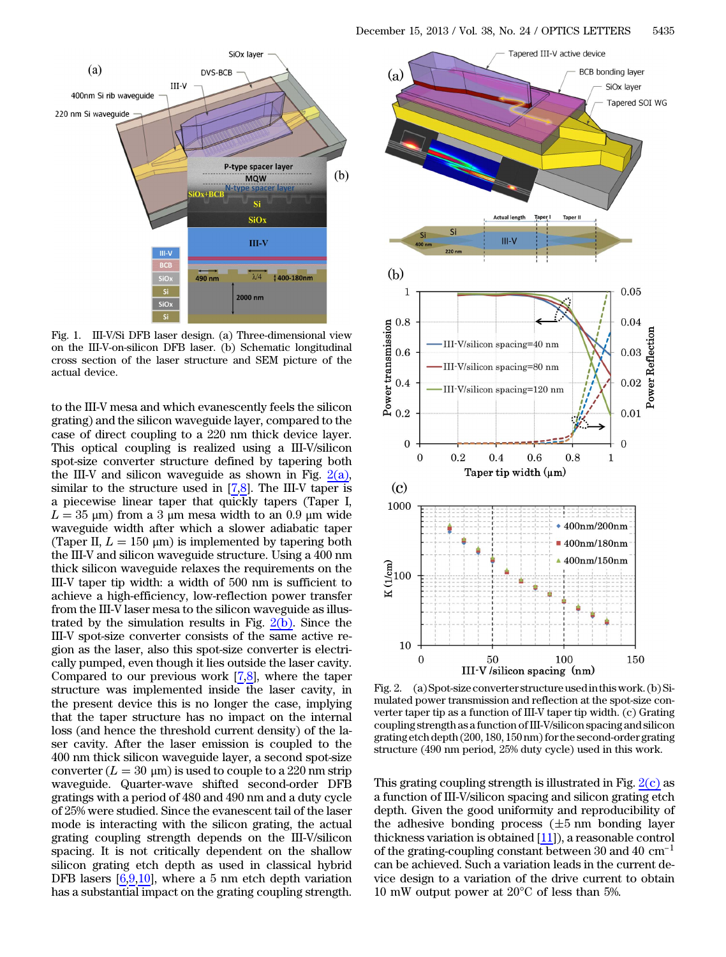<span id="page-1-1"></span>

Fig. 1. III-V/Si DFB laser design. (a) Three-dimensional view on the III-V-on-silicon DFB laser. (b) Schematic longitudinal cross section of the laser structure and SEM picture of the actual device.

to the III-V mesa and which evanescently feels the silicon grating) and the silicon waveguide layer, compared to the case of direct coupling to a 220 nm thick device layer. This optical coupling is realized using a III-V/silicon spot-size converter structure defined by tapering both the III-V and silicon waveguide as shown in Fig.  $2(a)$ , similar to the structure used in [\[7](#page-3-6),[8\]](#page-3-7). The III-V taper is a piecewise linear taper that quickly tapers (Taper I,  $L = 35$  µm) from a 3 µm mesa width to an 0.9 µm wide<br>waveguide width after which a slower adiabatic taper  $L = 35 \text{ }\mu\text{m}$ ) from a 3  $\mu$ m mesa width to an 0.9  $\mu$ m wide (Taper II,  $L = 150 \text{ }\mu\text{m}$ ) is implemented by tapering both the III-V and silicon waveguide structure Using a 400 nm the III-V and silicon waveguide structure. Using a 400 nm thick silicon waveguide relaxes the requirements on the III-V taper tip width: a width of 500 nm is sufficient to achieve a high-efficiency, low-reflection power transfer from the III-V laser mesa to the silicon waveguide as illustrated by the simulation results in Fig.  $2(b)$ . Since the III-V spot-size converter consists of the same active region as the laser, also this spot-size converter is electrically pumped, even though it lies outside the laser cavity. Compared to our previous work  $[7,8]$  $[7,8]$  $[7,8]$ , where the taper structure was implemented inside the laser cavity, in the present device this is no longer the case, implying that the taper structure has no impact on the internal loss (and hence the threshold current density) of the laser cavity. After the laser emission is coupled to the 400 nm thick silicon waveguide layer, a second spot-size  $\frac{\text{couverter}\left(L=30\ \mu\text{m}\right) \text{is used to couple to a 220 nm strip}}{\text{waveguide.} \text{Owater-Wave shifted.} \text{second-order.} \text{DFB}}$ waveguide. Quarter-wave shifted second-order DFB gratings with a period of 480 and 490 nm and a duty cycle of 25% were studied. Since the evanescent tail of the laser mode is interacting with the silicon grating, the actual grating coupling strength depends on the III-V/silicon spacing. It is not critically dependent on the shallow silicon grating etch depth as used in classical hybrid DFB lasers  $[6,9,10]$  $[6,9,10]$  $[6,9,10]$  $[6,9,10]$  $[6,9,10]$ , where a 5 nm etch depth variation has a substantial impact on the grating coupling strength.

<span id="page-1-0"></span>

Fig. 2. (a) Spot-size converter structure usedin thiswork. (b) Simulated power transmission and reflection at the spot-size converter taper tip as a function of III-V taper tip width. (c) Grating coupling strength as a function of III-V/silicon spacing and silicon grating etch depth (200, 180, 150 nm) for the second-order grating structure (490 nm period, 25% duty cycle) used in this work.

This grating coupling strength is illustrated in Fig.  $2(c)$  as a function of III-V/silicon spacing and silicon grating etch depth. Given the good uniformity and reproducibility of the adhesive bonding process ( $\pm$ 5 nm bonding layer<br>thickness variation is obtained [11]), a reasonable control<br>of the grating-coupling constant between 30 and 40 cm<sup>−1</sup> thickness variation is obtained [\[11](#page-3-10)]), a reasonable control can be achieved. Such a variation leads in the current device design to a variation of the drive current to obtain 10 mW output power at 20°C of less than 5%.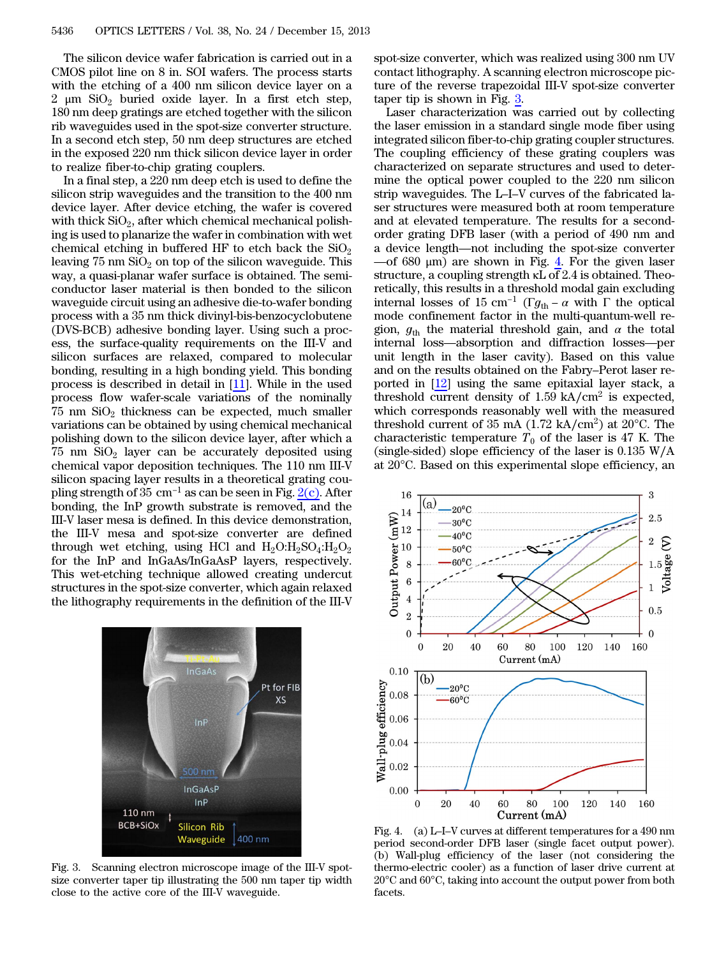The silicon device wafer fabrication is carried out in a CMOS pilot line on 8 in. SOI wafers. The process starts with the etching of a 400 nm silicon device layer on a 2 μm  $SiO<sub>2</sub>$  buried oxide layer. In a first etch step, 180 nm deep gratings are etched together with the silicon rib waveguides used in the spot-size converter structure. In a second etch step, 50 nm deep structures are etched in the exposed 220 nm thick silicon device layer in order to realize fiber-to-chip grating couplers.

In a final step, a 220 nm deep etch is used to define the silicon strip waveguides and the transition to the 400 nm device layer. After device etching, the wafer is covered with thick  $SiO<sub>2</sub>$ , after which chemical mechanical polishing is used to planarize the wafer in combination with wet chemical etching in buffered HF to etch back the  $SiO<sub>2</sub>$ leaving  $75 \text{ nm } \text{SiO}_2$  on top of the silicon waveguide. This way, a quasi-planar wafer surface is obtained. The semiconductor laser material is then bonded to the silicon waveguide circuit using an adhesive die-to-wafer bonding process with a 35 nm thick divinyl-bis-benzocyclobutene (DVS-BCB) adhesive bonding layer. Using such a process, the surface-quality requirements on the III-V and silicon surfaces are relaxed, compared to molecular bonding, resulting in a high bonding yield. This bonding process is described in detail in [[11\]](#page-3-10). While in the used process flow wafer-scale variations of the nominally  $75$  nm  $SiO<sub>2</sub>$  thickness can be expected, much smaller variations can be obtained by using chemical mechanical polishing down to the silicon device layer, after which a  $75 \text{ nm } \text{SiO}_2$  layer can be accurately deposited using chemical vapor deposition techniques. The 110 nm III-V silicon spacing layer results in a theoretical grating coupling strength of 35 cm<sup>-1</sup> as can be seen in Fig.  $2(c)$ . After bonding, the InP growth substrate is removed, and the III-V laser mesa is defined. In this device demonstration, the III-V mesa and spot-size converter are defined through wet etching, using HCl and  $H_2O:H_2SO_4:H_2O_2$ for the InP and InGaAs/InGaAsP layers, respectively. This wet-etching technique allowed creating undercut structures in the spot-size converter, which again relaxed the lithography requirements in the definition of the III-V

<span id="page-2-0"></span>

Fig. 3. Scanning electron microscope image of the III-V spotsize converter taper tip illustrating the 500 nm taper tip width close to the active core of the III-V waveguide.

spot-size converter, which was realized using 300 nm UV contact lithography. A scanning electron microscope picture of the reverse trapezoidal III-V spot-size converter taper tip is shown in Fig. [3](#page-2-0).

Laser characterization was carried out by collecting the laser emission in a standard single mode fiber using integrated silicon fiber-to-chip grating coupler structures. magnaca sheen heer to emp graing couplers stractures.<br>The coupling efficiency of these grating couplers was<br>characterized on separate structures and used to deter-<br>mine the optical power coupled to the 220 nm silicon<br>strip characterized on separate structures and used to determine the optical power coupled to the 220 nm silicon ser structures were measured both at room temperature and at elevated temperature. The results for a secondorder grating DFB laser (with a period of 490 nm and strip waveguates. The E-T-V curves of the fabricated laster<br>ser structures were measured both at room temperature<br>and at elevated temperature. The results for a second-<br>order grating DFB laser (with a period of 490 nm and<br> มษ<br>ภท  $-$ of 680 μm) are shown in Fig.  $4$ . For the given laser structure, a coupling strength κL of 2.4 is obtained. Theoretically, this results in a threshold modal gain excluding  $-$  of 680 μm) are shown in Fig. 4. For the given laser<br>structure, a coupling strength κL of 2.4 is obtained. Theo-<br>retically, this results in a threshold modal gain excluding<br>internal losses of 15 cm<sup>-1</sup> (Γg<sub>th</sub> − α wi mode confinement factor in the multi-quantum-well region,  $g_{\text{th}}$  the material threshold gain, and  $\alpha$  the total internal losses of 15 cm<sup>-1</sup> ( $\Gamma g_{th} - \alpha$  with  $\Gamma$  the optical<br>mode confinement factor in the multi-quantum-well re-<br>gion,  $g_{th}$  the material threshold gain, and  $\alpha$  the total<br>internal loss—absorption and diffraction l unit length in the laser cavity). Based on this value internal loss—absorption and diffraction losses—per<br>unit length in the laser cavity). Based on this value<br>and on the results obtained on the Fabry–Perot laser reported in [[12\]](#page-3-11) using the same epitaxial layer stack, a threshold current density of  $1.59 \text{ kA/cm}^2$  is expected, which corresponds reasonably well with the measured threshold current of 35 mA  $(1.72 \text{ kA/cm}^2)$  at 20 $^{\circ}$ C. The characteristic temperature  $T_0$  of the laser is 47 K. The (single-sided) slope efficiency of the laser is 0.135 W∕A at 20°C. Based on this experimental slope efficiency, an

<span id="page-2-1"></span>

period second-order DFB laser (single facet output power). (b) Wall-plug efficiency of the laser (not considering the thermo-electric cooler) as a function of laser drive current at 20°C and 60°C, taking into account the output power from both facets.